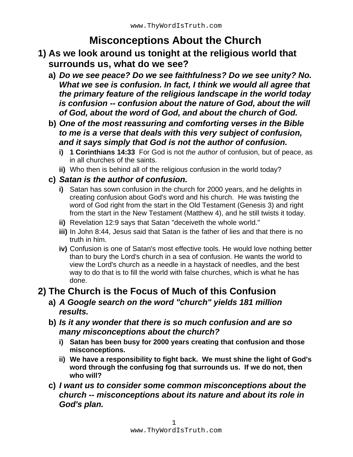# **Misconceptions About the Church**

- **1) As we look around us tonight at the religious world that surrounds us, what do we see?**
	- **a)** *Do we see peace? Do we see faithfulness? Do we see unity? No. What we see is confusion. In fact, I think we would all agree that the primary feature of the religious landscape in the world today is confusion -- confusion about the nature of God, about the will of God, about the word of God, and about the church of God.*
	- **b)** *One of the most reassuring and comforting verses in the Bible to me is a verse that deals with this very subject of confusion, and it says simply that God is not the author of confusion.*
		- **i) 1 Corinthians 14:33** For God is not *the author* of confusion, but of peace, as in all churches of the saints.
		- **ii)** Who then is behind all of the religious confusion in the world today?
	- **c)** *Satan is the author of confusion.*
		- **i)** Satan has sown confusion in the church for 2000 years, and he delights in creating confusion about God's word and his church. He was twisting the word of God right from the start in the Old Testament (Genesis 3) and right from the start in the New Testament (Matthew 4), and he still twists it today.
		- **ii)** Revelation 12:9 says that Satan "deceiveth the whole world."
		- **iii)** In John 8:44, Jesus said that Satan is the father of lies and that there is no truth in him.
		- **iv)** Confusion is one of Satan's most effective tools. He would love nothing better than to bury the Lord's church in a sea of confusion. He wants the world to view the Lord's church as a needle in a haystack of needles, and the best way to do that is to fill the world with false churches, which is what he has done.

## **2) The Church is the Focus of Much of this Confusion**

- **a)** *A Google search on the word "church" yields 181 million results.*
- **b)** *Is it any wonder that there is so much confusion and are so many misconceptions about the church?*
	- **i) Satan has been busy for 2000 years creating that confusion and those misconceptions.**
	- **ii) We have a responsibility to fight back. We must shine the light of God's word through the confusing fog that surrounds us. If we do not, then who will?**
- **c)** *I want us to consider some common misconceptions about the church -- misconceptions about its nature and about its role in God's plan.*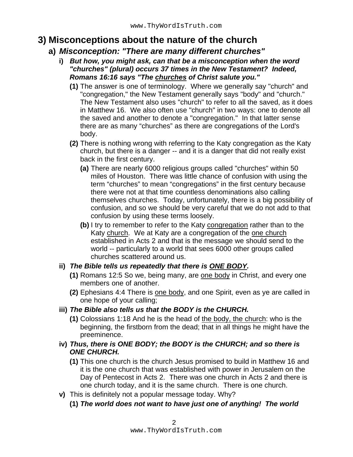### **3) Misconceptions about the nature of the church**

#### **a)** *Misconception: "There are many different churches"*

- **i)** *But how, you might ask, can that be a misconception when the word "churches" (plural) occurs 37 times in the New Testament? Indeed, Romans 16:16 says "The churches of Christ salute you."*
	- **(1)** The answer is one of terminology. Where we generally say "church" and "congregation," the New Testament generally says "body" and "church." The New Testament also uses "church" to refer to all the saved, as it does in Matthew 16. We also often use "church" in two ways: one to denote all the saved and another to denote a "congregation." In that latter sense there are as many "churches" as there are congregations of the Lord's body.
	- **(2)** There is nothing wrong with referring to the Katy congregation as the Katy church, but there is a danger -- and it is a danger that did not really exist back in the first century.
		- **(a)** There are nearly 6000 religious groups called "churches" within 50 miles of Houston. There was little chance of confusion with using the term "churches" to mean "congregations" in the first century because there were not at that time countless denominations also calling themselves churches. Today, unfortunately, there is a big possibility of confusion, and so we should be very careful that we do not add to that confusion by using these terms loosely.
		- **(b)** I try to remember to refer to the Katy congregation rather than to the Katy church. We at Katy are a congregation of the one church established in Acts 2 and that is the message we should send to the world -- particularly to a world that sees 6000 other groups called churches scattered around us.

#### **ii)** *The Bible tells us repeatedly that there is ONE BODY.*

- **(1)** Romans 12:5 So we, being many, are one body in Christ, and every one members one of another.
- **(2)** Ephesians 4:4 There is one body, and one Spirit, even as ye are called in one hope of your calling;

#### **iii)** *The Bible also tells us that the BODY is the CHURCH.*

- **(1)** Colossians 1:18 And he is the head of the body, the church: who is the beginning, the firstborn from the dead; that in all things he might have the preeminence.
- **iv)** *Thus, there is ONE BODY; the BODY is the CHURCH; and so there is ONE CHURCH.*
	- **(1)** This one church is the church Jesus promised to build in Matthew 16 and it is the one church that was established with power in Jerusalem on the Day of Pentecost in Acts 2. There was one church in Acts 2 and there is one church today, and it is the same church. There is one church.
- **v)** This is definitely not a popular message today. Why?
	- **(1)** *The world does not want to have just one of anything! The world*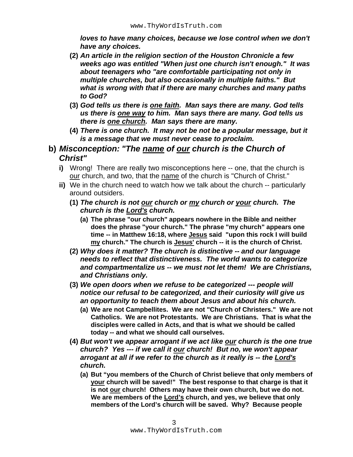*loves to have many choices, because we lose control when we don't have any choices.*

- **(2)** *An article in the religion section of the Houston Chronicle a few weeks ago was entitled "When just one church isn't enough." It was about teenagers who "are comfortable participating not only in multiple churches, but also occasionally in multiple faiths." But what is wrong with that if there are many churches and many paths to God?*
- **(3)** *God tells us there is one faith. Man says there are many. God tells us there is one way to him. Man says there are many. God tells us there is one church. Man says there are many.*
- **(4)** *There is one church. It may not be not be a popular message, but it is a message that we must never cease to proclaim.*
- **b)** *Misconception: "The name of our church is the Church of Christ"*
	- **i)** Wrong! There are really two misconceptions here -- one, that the church is our church, and two, that the name of the church is "Church of Christ."
	- **ii)** We in the church need to watch how we talk about the church -- particularly around outsiders.
		- **(1)** *The church is not our church or my church or your church. The church is the Lord's church.*
			- **(a) The phrase "our church" appears nowhere in the Bible and neither does the phrase "your church." The phrase "my church" appears one time -- in Matthew 16:18, where Jesus said "upon this rock I will build my church." The church is Jesus' church -- it is the church of Christ.**
		- **(2)** *Why does it matter? The church is distinctive -- and our language needs to reflect that distinctiveness. The world wants to categorize and compartmentalize us -- we must not let them! We are Christians, and Christians only.*
		- **(3)** *We open doors when we refuse to be categorized --- people will notice our refusal to be categorized, and their curiosity will give us an opportunity to teach them about Jesus and about his church.*
			- **(a) We are not Campbellites. We are not "Church of Christers." We are not Catholics. We are not Protestants. We are Christians. That is what the disciples were called in Acts, and that is what we should be called today -- and what we should call ourselves.**
		- **(4)** *But won't we appear arrogant if we act like our church is the one true church? Yes --- if we call it our church! But no, we won't appear arrogant at all if we refer to the church as it really is -- the Lord's church.*
			- **(a) But "you members of the Church of Christ believe that only members of your church will be saved!" The best response to that charge is that it is not our church! Others may have their own church, but we do not. We are members of the Lord's church, and yes, we believe that only members of the Lord's church will be saved. Why? Because people**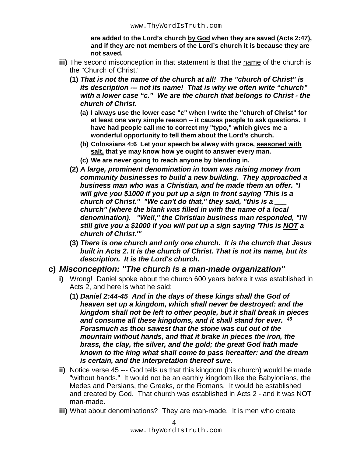**are added to the Lord's church by God when they are saved (Acts 2:47), and if they are not members of the Lord's church it is because they are not saved.**

- **iii)** The second misconception in that statement is that the name of the church is the "Church of Christ."
	- **(1)** *That is not the name of the church at all! The "church of Christ" is its description --- not its name! That is why we often write "church" with a lower case "c." We are the church that belongs to Christ - the church of Christ.*
		- **(a) I always use the lower case "c" when I write the "church of Christ" for at least one very simple reason -- it causes people to ask questions. I have had people call me to correct my "typo," which gives me a wonderful opportunity to tell them about the Lord's church.**
		- **(b) Colossians 4:6 Let your speech be alway with grace, seasoned with salt, that ye may know how ye ought to answer every man.**
		- **(c) We are never going to reach anyone by blending in.**
	- **(2)** *A large, prominent denomination in town was raising money from community businesses to build a new building. They approached a business man who was a Christian, and he made them an offer. "I will give you \$1000 if you put up a sign in front saying 'This is a church of Christ." "We can't do that," they said, "this is a \_\_\_ church" (where the blank was filled in with the name of a local denomination). "Well," the Christian business man responded, "I'll still give you a \$1000 if you will put up a sign saying 'This is NOT a church of Christ.'"*
	- **(3)** *There is one church and only one church. It is the church that Jesus built in Acts 2. It is the church of Christ. That is not its name, but its description. It is the Lord's church.*

#### **c)** *Misconception: "The church is a man-made organization"*

- **i)** Wrong! Daniel spoke about the church 600 years before it was established in Acts 2, and here is what he said:
	- **(1)** *Daniel 2:44-45 And in the days of these kings shall the God of heaven set up a kingdom, which shall never be destroyed: and the kingdom shall not be left to other people, but it shall break in pieces and consume all these kingdoms, and it shall stand for ever. 45 Forasmuch as thou sawest that the stone was cut out of the mountain without hands, and that it brake in pieces the iron, the brass, the clay, the silver, and the gold; the great God hath made known to the king what shall come to pass hereafter: and the dream is certain, and the interpretation thereof sure.*
- **ii)** Notice verse 45 --- God tells us that this kingdom (his church) would be made "without hands." It would not be an earthly kingdom like the Babylonians, the Medes and Persians, the Greeks, or the Romans. It would be established and created by God. That church was established in Acts 2 - and it was NOT man-made.
- **iii)** What about denominations? They are man-made. It is men who create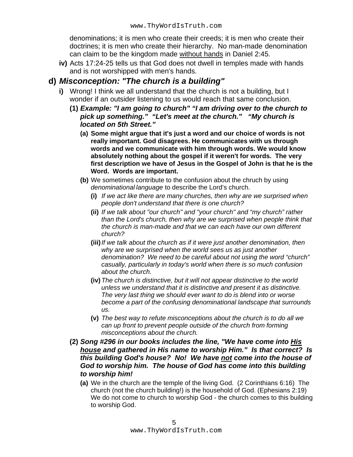denominations; it is men who create their creeds; it is men who create their doctrines; it is men who create their hierarchy. No man-made denomination can claim to be the kingdom made without hands in Daniel 2:45.

**iv)** Acts 17:24-25 tells us that God does not dwell in temples made with hands and is not worshipped with men's hands.

#### **d)** *Misconception: "The church is a building"*

- **i)** Wrong! I think we all understand that the church is not a building, but I wonder if an outsider listening to us would reach that same conclusion.
	- **(1)** *Example: "I am going to church" "I am driving over to the church to pick up something." "Let's meet at the church." "My church is located on 5th Street."*
		- **(a) Some might argue that it's just a word and our choice of words is not really important. God disagrees. He communicates with us through words and we communicate with him through words. We would know absolutely nothing about the gospel if it weren't for words. The very first description we have of Jesus in the Gospel of John is that he is the Word. Words are important.**
		- **(b)** We sometimes contribute to the confusion about the chruch by using *denominational language* to describe the Lord's church.
			- **(i)** *If we act like there are many churches, then why are we surprised when people don't understand that there is one church?*
			- **(ii)** *If we talk about "our church" and "your church" and "my church" rather than the Lord's church, then why are we surprised when people think that the church is man-made and that we can each have our own different church?*
			- **(iii)***If we talk about the church as if it were just another denomination, then why are we surprised when the world sees us as just another denomination? We need to be careful about not using the word "church" casually, particularly in today's world when there is so much confusion about the church.*
			- **(iv)***The church is distinctive, but it will not appear distinctive to the world unless we understand that it is distinctive and present it as distinctive. The very last thing we should ever want to do is blend into or worse become a part of the confusing denominational landscape that surrounds us.*
			- **(v)** *The best way to refute misconceptions about the church is to do all we can up front to prevent people outside of the church from forming misconceptions about the church.*
	- **(2)** *Song #296 in our books includes the line, "We have come into His house and gathered in His name to worship Him." Is that correct? Is this building God's house? No! We have not come into the house of God to worship him. The house of God has come into this building to worship him!*
		- **(a)** We in the church are the temple of the living God. (2 Corinthians 6:16) The church (not the church building!) is the household of God. (Ephesians 2:19) We do not come to church to worship God - the church comes to this building to worship God.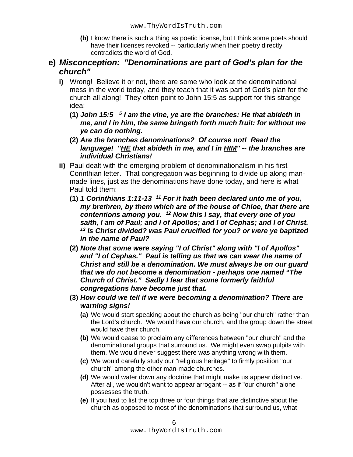- **(b)** I know there is such a thing as poetic license, but I think some poets should have their licenses revoked -- particularly when their poetry directly contradicts the word of God.
- **e)** *Misconception: "Denominations are part of God's plan for the church"*
	- **i)** Wrong! Believe it or not, there are some who look at the denominational mess in the world today, and they teach that it was part of God's plan for the church all along! They often point to John 15:5 as support for this strange idea:
		- **(1)** *John 15:5 5 I am the vine, ye are the branches: He that abideth in me, and I in him, the same bringeth forth much fruit: for without me ye can do nothing.*
		- **(2)** *Are the branches denominations? Of course not! Read the language! "HE that abideth in me, and I in HIM" -- the branches are individual Christians!*
	- **ii)** Paul dealt with the emerging problem of denominationalism in his first Corinthian letter. That congregation was beginning to divide up along manmade lines, just as the denominations have done today, and here is what Paul told them:
		- **(1)** *1 Corinthians 1:11-13 11 For it hath been declared unto me of you, my brethren, by them which are of the house of Chloe, that there are contentions among you. 12 Now this I say, that every one of you saith, I am of Paul; and I of Apollos; and I of Cephas; and I of Christ. 13 Is Christ divided? was Paul crucified for you? or were ye baptized in the name of Paul?*
		- **(2)** *Note that some were saying "I of Christ" along with "I of Apollos" and "I of Cephas." Paul is telling us that we can wear the name of Christ and still be a denomination. We must always be on our guard that we do not become a denomination - perhaps one named "The Church of Christ." Sadly I fear that some formerly faithful congregations have become just that.*
		- **(3)** *How could we tell if we were becoming a denomination? There are warning signs!*
			- **(a)** We would start speaking about the church as being "our church" rather than the Lord's church. We would have our church, and the group down the street would have their church.
			- **(b)** We would cease to proclaim any differences between "our church" and the denominational groups that surround us. We might even swap pulpits with them. We would never suggest there was anything wrong with them.
			- **(c)** We would carefully study our "religious heritage" to firmly position "our church" among the other man-made churches.
			- **(d)** We would water down any doctrine that might make us appear distinctive. After all, we wouldn't want to appear arrogant -- as if "our church" alone possesses the truth.
			- **(e)** If you had to list the top three or four things that are distinctive about the church as opposed to most of the denominations that surround us, what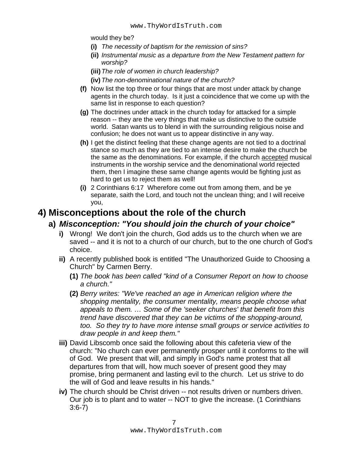would they be?

- **(i)** *The necessity of baptism for the remission of sins?*
- **(ii)** *Instrumental music as a departure from the New Testament pattern for worship?*
- **(iii)***The role of women in church leadership?*
- **(iv)***The non-denominational nature of the church?*
- **(f)** Now list the top three or four things that are most under attack by change agents in the church today. Is it just a coincidence that we come up with the same list in response to each question?
- **(g)** The doctrines under attack in the church today for attacked for a simple reason -- they are the very things that make us distinctive to the outside world. Satan wants us to blend in with the surrounding religious noise and confusion; he does not want us to appear distinctive in any way.
- **(h)** I get the distinct feeling that these change agents are not tied to a doctrinal stance so much as they are tied to an intense desire to make the church be the same as the denominations. For example, if the church accepted musical instruments in the worship service and the denominational world rejected them, then I imagine these same change agents would be fighting just as hard to get us to reject them as well!
- **(i)** 2 Corinthians 6:17 Wherefore come out from among them, and be ye separate, saith the Lord, and touch not the unclean thing; and I will receive you,

### **4) Misconceptions about the role of the church**

#### **a)** *Misconception: "You should join the church of your choice"*

- **i)** Wrong! We don't join the church, God adds us to the church when we are saved -- and it is not to a church of our church, but to the one church of God's choice.
- **ii)** A recently published book is entitled "The Unauthorized Guide to Choosing a Church" by Carmen Berry.
	- **(1)** *The book has been called "kind of a Consumer Report on how to choose a church."*
	- **(2)** *Berry writes: "We've reached an age in American religion where the shopping mentality, the consumer mentality, means people choose what appeals to them. … Some of the 'seeker churches' that benefit from this trend have discovered that they can be victims of the shopping-around, too. So they try to have more intense small groups or service activities to draw people in and keep them."*
- **iii)** David Libscomb once said the following about this cafeteria view of the church: "No church can ever permanently prosper until it conforms to the will of God. We present that will, and simply in God's name protest that all departures from that will, how much soever of present good they may promise, bring permanent and lasting evil to the church. Let us strive to do the will of God and leave results in his hands."
- **iv)** The church should be Christ driven -- not results driven or numbers driven. Our job is to plant and to water -- NOT to give the increase. (1 Corinthians 3:6-7)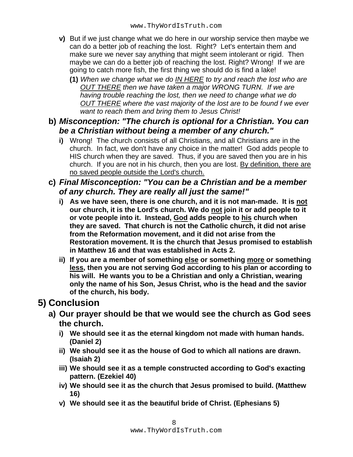- **v)** But if we just change what we do here in our worship service then maybe we can do a better job of reaching the lost. Right? Let's entertain them and make sure we never say anything that might seem intolerant or rigid. Then maybe we can do a better job of reaching the lost. Right? Wrong! If we are going to catch more fish, the first thing we should do is find a lake!
	- **(1)** *When we change what we do IN HERE to try and reach the lost who are OUT THERE then we have taken a major WRONG TURN. If we are having trouble reaching the lost, then we need to change what we do OUT THERE where the vast majority of the lost are to be found f we ever want to reach them and bring them to Jesus Christ!*

#### **b)** *Misconception: "The church is optional for a Christian. You can be a Christian without being a member of any church."*

**i)** Wrong! The church consists of all Christians, and all Christians are in the church. In fact, we don't have any choice in the matter! God adds people to HIS church when they are saved. Thus, if you are saved then you are in his church. If you are not in his church, then you are lost. By definition, there are no saved people outside the Lord's church.

#### **c)** *Final Misconception: "You can be a Christian and be a member of any church. They are really all just the same!"*

- **i) As we have seen, there is one church, and it is not man-made. It is not our church, it is the Lord's church. We do not join it or add people to it or vote people into it. Instead, God adds people to his church when they are saved. That church is not the Catholic church, it did not arise from the Reformation movement, and it did not arise from the Restoration movement. It is the church that Jesus promised to establish in Matthew 16 and that was established in Acts 2.**
- **ii) If you are a member of something else or something more or something less, then you are not serving God according to his plan or according to his will. He wants you to be a Christian and only a Christian, wearing only the name of his Son, Jesus Christ, who is the head and the savior of the church, his body.**

## **5) Conclusion**

- **a) Our prayer should be that we would see the church as God sees the church.**
	- **i) We should see it as the eternal kingdom not made with human hands. (Daniel 2)**
	- **ii) We should see it as the house of God to which all nations are drawn. (Isaiah 2)**
	- **iii) We should see it as a temple constructed according to God's exacting pattern. (Ezekiel 40)**
	- **iv) We should see it as the church that Jesus promised to build. (Matthew 16)**
	- **v) We should see it as the beautiful bride of Christ. (Ephesians 5)**